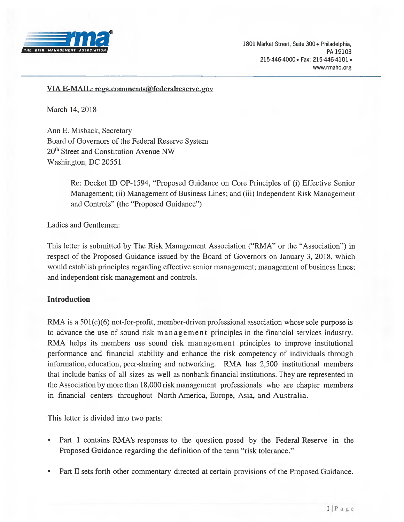

#### *VIA E-MAIL: regs.comments@federalreserve.gov*

*March 14, 2018*

*Ann E. Misback, Secretary Board of Governors of the Federal Reserve System 20th Street and Constitution Avenue NW Washington, DC 20551*

> *Re: Docket ID OP-1594, "Proposed Guidance on Core Principles of (i) Effective Senior Management; (ii) Management ofBusiness Lines; and (iii) Independent Risk Management and Controls" (the "Proposed Guidance")*

*Ladies and Gentlemen:*

This letter is submitted by The Risk Management Association ("RMA" or the "Association") in *respect of the Proposed Guidance issued by the Board of Governors on January 3, 2018, which would establish principles regarding effective senior management; management of business lines; and independent risk management and controls.*

#### *Introduction*

*RMA is a 501(c)(6) not-for-profit, member-driven professional association whose sole purpose is to advance the use of sound risk management principles in the financial services industry. RMA helps its members use sound risk management principles to improve institutional performance and financial stability and enhance the risk competency of individuals through information, education, peer-sharing and networking. RMA has 2,500 institutional members that include banks of all sizes as well as nonbank financial institutions. They are represented in the Association by more than 18,000 risk management professionals who are chapter members in financial centers throughout North America, Europe, Asia, and Australia.*

*This letter is divided into two parts:*

- *• Part I contains RMA's responses to the question posed by the Federal Reserve in the Proposed Guidance regarding the definition of the term "risk tolerance."*
- *• Part II sets forth other commentary directed at certain provisions of the Proposed Guidance.*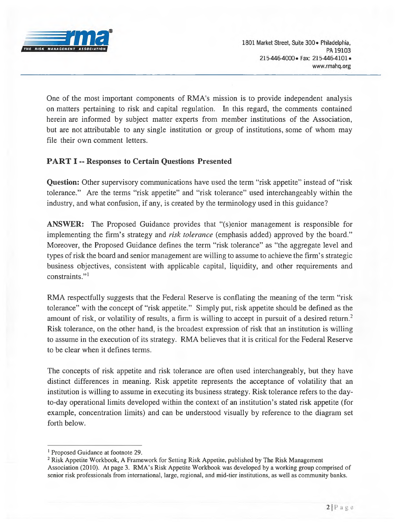

*One of the most important components of RMA's mission is to provide independent analysis on matters pertaining to risk and capital regulation. In this regard, the comments contained herein are informed by subject matter experts from member institutions of the Association, but are not attributable to any single institution or group of institutions, some of whom may file their own comment letters.*

# *PART I -- Responses to Certain Questions Presented*

*Question: Other supervisory communications have used the term "risk appetite" instead of "risk tolerance." Are the terms "risk appetite" and "risk tolerance" used interchangeably within the industry, and what confusion, if any, is created by the terminology used in this guidance?*

*ANSWER: The Proposed Guidance provides that "(s)enior management is responsible for implementing the firm's strategy and risk tolerance (emphasis added) approved by the board." Moreover, the Proposed Guidance defines the term "risk tolerance" as "the aggregate level and* types of risk the board and senior management are willing to assume to achieve the firm's strategic *business objectives, consistent with applicable capital, liquidity, and other requirements and constraints."<sup>1</sup>*

*RMA respectfully suggests that the Federal Reserve is conflating the meaning of the term "risk* tolerance" with the concept of "risk appetite." Simply put, risk appetite should be defined as the amount of risk, or volatility of results, a firm is willing to accept in pursuit of a desired return.<sup>2</sup> *Risk tolerance, on the other hand, is the broadest expression of risk that an institution is willing* to assume in the execution of its strategy. RMA believes that it is critical for the Federal Reserve *to be clear when it defines terms.*

*The concepts of risk appetite and risk tolerance are often used interchangeably, but they have distinct differences in meaning. Risk appetite represents the acceptance of volatility that an institution is willing to assume in executing its business strategy. Risk tolerance refers to the dayto-day operational limits developed within the context of an institution's stated risk appetite (for example, concentration limits) and can be understood visually by reference to the diagram set forth below.*

*<sup>1</sup> Proposed Guidance at footnote 29.*

*<sup>2</sup> Risk Appetite Workbook, A Framework for Setting Risk Appetite, published by The Risk Management* Association (2010). At page 3. RMA's Risk Appetite Workbook was developed by a working group comprised of *senior risk professionals from international, large, regional, and mid-tier institutions, as well as community banks.*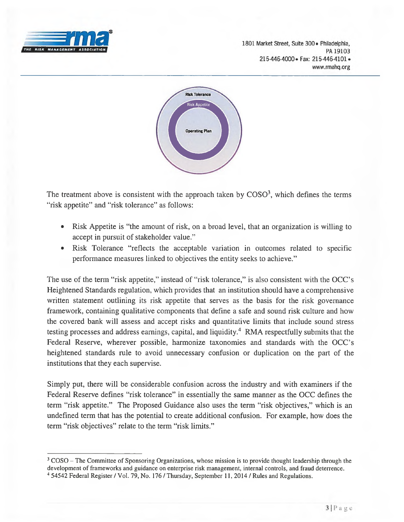

1801 Market Street, Suite 300 · Philadelphia, PA 19103 215-446-4000 · Fax: 215-446-4101 · www.rmahq.org



*The treatment above is consistent with the approach taken by COSO3, which defines the terms "risk appetite" and "risk tolerance" as follows:*

- Risk Appetite is "the amount of risk, on a broad level, that an organization is willing to *accept in pursuit ofstakeholder value."*
- *• Risk Tolerance "reflects the acceptable variation in outcomes related to specific performance measures linked to objectives the entity seeks to achieve."*

The use of the term "risk appetite," instead of "risk tolerance," is also consistent with the OCC's *Heightened Standards regulation, which provides that an institution should have a comprehensive written statement outlining its risk appetite that serves as the basis for the risk governance framework, containing qualitative components that define a safe and sound risk culture and how the covered bank will assess and accept risks and quantitative limits that include sound stress testing processes and address earnings, capital, and liquidity.<sup>4</sup> RMA respectfully submits that the Federal Reserve, wherever possible, harmonize taxonomies and standards with the OCC's heightened standards rule to avoid unnecessary confusion or duplication on the part of the institutions that they each supervise.*

*Simply put, there will be considerable confusion across the industry and with examiners if the Federal Reserve defines "risk tolerance" in essentially the same manner as the OCC defines the* term "risk appetite." The Proposed Guidance also uses the term "risk objectives," which is an *undefined term that has the potential to create additional confusion. For example, how does the term "risk objectives" relate to the term "risk limits."*

<sup>&</sup>lt;sup>3</sup> COSO – The Committee of Sponsoring Organizations, whose mission is to provide thought leadership through the *development offrameworks and guidance on enterprise risk management, internal controls, and fraud deterrence.* <sup>4</sup> 54542 Federal Register / Vol. 79, No. 176 / Thursday, September 11, 2014 / Rules and Regulations.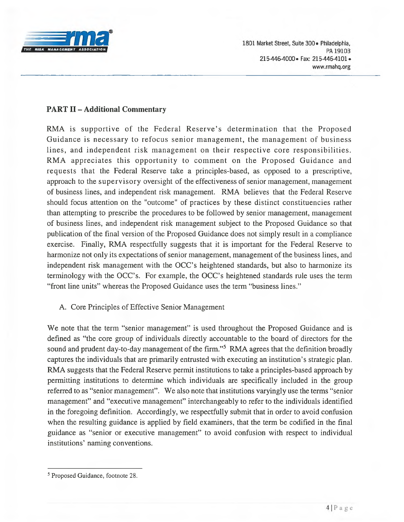

### *PART II - Additional Commentary*

*RMA is supportive of the Federal Reserve's determination that the Proposed Guidance is necessary to refocus senior management, the management of business lines, and independent risk management on their respective core responsibilities. RMA appreciates this opportunity to comment on the Proposed Guidance and requests that the Federal Reserve take a principles-based, as opposed to a prescriptive, approach to the supervisory oversight of the effectiveness ofsenior management, management of business lines, and independent risk management. RMA believes that the Federal Reserve should focus attention on the "outcome" of practices by these distinct constituencies rather than attempting to prescribe the procedures to be followed by senior management, management of business lines, and independent risk management subject to the Proposed Guidance so that publication of the final version of the Proposed Guidance does not simply result in a compliance exercise. Finally, RMA respectfully suggests that it is important for the Federal Reserve to harmonize not only its expectations ofsenior management, management ofthe business lines, and independent risk management with the OCC's heightened standards, but also to harmonize its terminology with the OCC's. For example, the OCC's heightened standards rule uses the term "front line units" whereas the Proposed Guidance uses the term "business lines."*

*A. Core Principles of Effective Senior Management*

*We note that the term "senior management" is used throughout the Proposed Guidance and is defined as "the core group of individuals directly accountable to the board of directors for the sound and prudent day-to-day management ofthe firm."<sup>5</sup> RMA agrees that the definition broadly captures the individuals that are primarily entrusted with executing an institution's strategic plan. RMA suggests that the Federal Reserve permit institutions to take a principles-based approach by permitting institutions to determine which individuals are specifically included in the group* referred to as "senior management". We also note that institutions varyingly use the terms "senior" *management" and "executive management" interchangeably to refer to the individuals identified in the foregoing definition. Accordingly, we respectfully submit that in order to avoid confusion when the resulting guidance is applied by field examiners, that the term be codified in the final guidance as "senior or executive management" to avoid confusion with respect to individual institutions' naming conventions.*

*<sup>5</sup> Proposed Guidance, footnote 28.*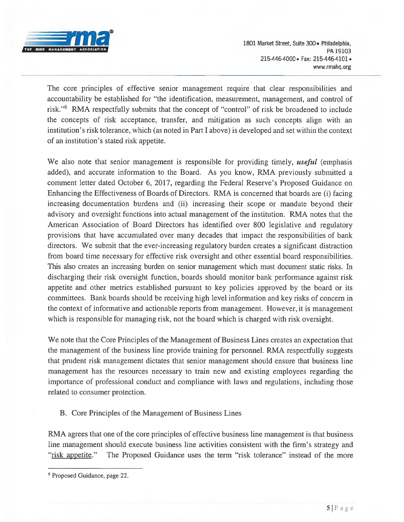

*The core principles of effective senior management require that clear responsibilities and accountability be established for "the identification, measurement, management, and control of* risk."<sup>6</sup> RMA respectfully submits that the concept of "control" of risk be broadened to include *the concepts of risk acceptance, transfer, and mitigation as such concepts align with an*  institution's risk tolerance, which (as noted in Part I above) is developed and set within the context *of an institution's stated risk appetite.*

*We also note that senior management is responsible for providing timely, useful (emphasis added), and accurate information to the Board. As you know, RMA previously submitted a comment letter dated October 6, 2017, regarding the Federal Reserve's Proposed Guidance on Enhancing the Effectiveness ofBoards of Directors. RMA is concerned that boards are (i) facing increasing documentation burdens and (ii) increasing their scope or mandate beyond their advisory and oversight functions into actual management of the institution. RMA notes that the American Association of Board Directors has identified over 800 legislative and regulatory provisions that have accumulated over many decades that impact the responsibilities of bank directors. We submit that the ever-increasing regulatory burden creates a significant distraction from board time necessary for effective risk oversight and other essential board responsibilities. This also creates an increasing burden on senior management which must document static risks. In discharging their risk oversight function, boards should monitor bank performance against risk appetite and other metrics established pursuant to key policies approved by the board or its committees. Bank boards should be receiving high level information and key risks of concern in the context of informative and actionable reports from management. However, it is management which is responsible for managing risk, not the board which is charged with risk oversight.*

*We note that the Core Principles ofthe Management ofBusiness Lines creates an expectation that the management of the business line provide training for personnel. RMA respectfully suggests that prudent risk management dictates that senior management should ensure that business line management has the resources necessary to train new and existing employees regarding the importance of professional conduct and compliance with laws and regulations, including those related to consumer protection.*

*B. Core Principles of the Management of Business Lines*

*RMA agrees that one ofthe core principles of effective business line management is that business line management should execute business line activities consistent with the firm's strategy and "risk appetite." The Proposed Guidance uses the term "risk tolerance" instead of the more*

*<sup>6</sup> Proposed Guidance, page 22.*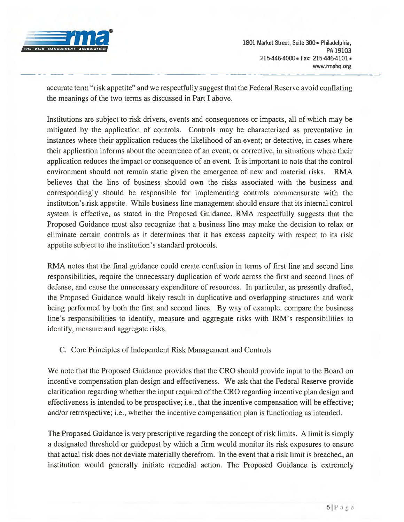

*accurate term "risk appetite" and we respectfully suggest that the Federal Reserve avoid conflating the meanings of the two terms as discussed in Part I above.*

*Institutions are subject to risk drivers, events and consequences or impacts, all of which may be mitigated by the application of controls. Controls may be characterized as preventative in instances where their application reduces the likelihood of an event; or detective, in cases where their application informs about the occurrence of an event; or corrective, in situations where their application reduces the impact or consequence of an event. It is important to note that the control environment should not remain static given the emergence of new and material risks. RMA believes that the line of business should own the risks associated with the business and correspondingly should be responsible for implementing controls commensurate with the institution's risk appetite. While business line management should ensure that its internal control system is effective, as stated in the Proposed Guidance, RMA respectfully suggests that the Proposed Guidance must also recognize that a business line may make the decision to relax or eliminate certain controls as it determines that it has excess capacity with respect to its risk appetite subject to the institution's standard protocols.*

*RMA notes that the final guidance could create confusion in terms of first line and second line responsibilities, require the unnecessary duplication of work across the first and second lines of defense, and cause the unnecessary expenditure of resources. In particular, as presently drafted, the Proposed Guidance would likely result in duplicative and overlapping structures and work being performed by both the first and second lines. By way of example, compare the business line's responsibilities to identify, measure and aggregate risks with IRM's responsibilities to identify, measure and aggregate risks.*

# *C. Core Principles of Independent Risk Management and Controls*

*We note that the Proposed Guidance provides that the CRO should provide input to the Board on incentive compensation plan design and effectiveness. We ask that the Federal Reserve provide clarification regarding whether the input required ofthe CRO regarding incentive plan design and effectiveness is intended to be prospective; i.e., that the incentive compensation will be effective; and/or retrospective; i.e., whether the incentive compensation plan is functioning as intended.*

*The Proposed Guidance is very prescriptive regarding the concept ofrisk limits. A limit is simply a designated threshold or guidepost by which a firm would monitor its risk exposures to ensure* that actual risk does not deviate materially therefrom. In the event that a risk limit is breached, an *institution would generally initiate remedial action. The Proposed Guidance is extremely*